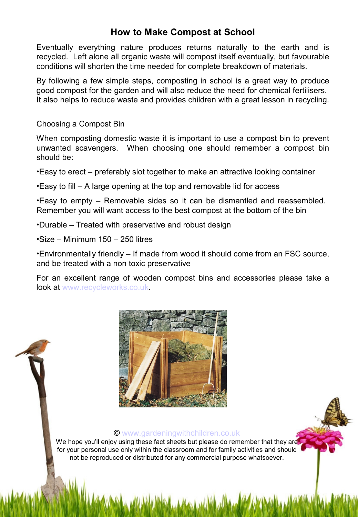# **How to Make Compost at School**

Eventually everything nature produces returns naturally to the earth and is recycled. Left alone all organic waste will compost itself eventually, but favourable conditions will shorten the time needed for complete breakdown of materials.

By following a few simple steps, composting in school is a great way to produce good compost for the garden and will also reduce the need for chemical fertilisers. It also helps to reduce waste and provides children with a great lesson in recycling.

Choosing a Compost Bin

When composting domestic waste it is important to use a compost bin to prevent unwanted scavengers. When choosing one should remember a compost bin should be:

•Easy to erect – preferably slot together to make an attractive looking container

•Easy to fill – A large opening at the top and removable lid for access

•Easy to empty – Removable sides so it can be dismantled and reassembled. Remember you will want access to the best compost at the bottom of the bin

•Durable – Treated with preservative and robust design

•Size – Minimum 150 – 250 litres

•Environmentally friendly – If made from wood it should come from an FSC source, and be treated with a non toxic preservative

For an excellent range of wooden compost bins and accessories please take a look at [www.recycleworks.co.uk.](http://www.recycleworks.co.uk/)



#### © [www.gardeningwithchildren.co.uk](http://gardeningwithchildren.co.uk/)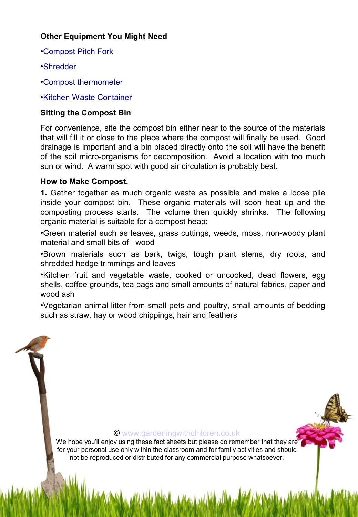# **Other Equipment You Might Need**

- •[Compost Pitch Fork](http://www.recycleworks.co.uk/compost-pitchfork-c-249-p-1-pr-16158.html)
- •[Shredder](http://www.recycleworks.co.uk/scheppach-lonos-3-shredder-45mm-c-257-p-1-pr-16196.html)
- •[Compost thermometer](http://www.recycleworks.co.uk/compost-thermometer-c-249-p-1-pr-16412.html)

•[Kitchen Waste Container](http://www.recycleworks.co.uk/kitchen-caddy-7l-c-272-p-1-pr-16228.html)

# **Sitting the Compost Bin**

For convenience, site the compost bin either near to the source of the materials that will fill it or close to the place where the compost will finally be used. Good drainage is important and a bin placed directly onto the soil will have the benefit of the soil micro-organisms for decomposition. Avoid a location with too much sun or wind. A warm spot with good air circulation is probably best.

## **How to Make Compost.**

**1.** Gather together as much organic waste as possible and make a loose pile inside your compost bin. These organic materials will soon heat up and the composting process starts. The volume then quickly shrinks. The following organic material is suitable for a compost heap:

•Green material such as leaves, grass cuttings, weeds, moss, non-woody plant material and small bits of wood

•Brown materials such as bark, twigs, tough plant stems, dry roots, and shredded hedge trimmings and leaves

•Kitchen fruit and vegetable waste, cooked or uncooked, dead flowers, egg shells, coffee grounds, tea bags and small amounts of natural fabrics, paper and wood ash

•Vegetarian animal litter from small pets and poultry, small amounts of bedding such as straw, hay or wood chippings, hair and feathers

#### © [www.gardeningwithchildren.co.uk](http://gardeningwithchildren.co.uk/)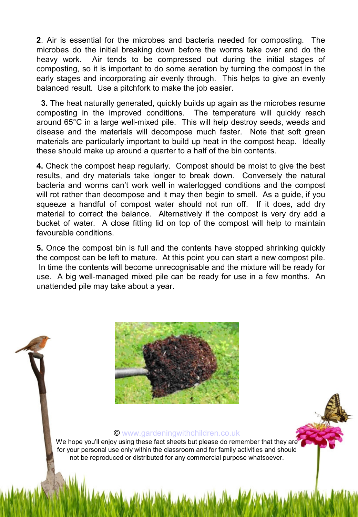**2**. Air is essential for the microbes and bacteria needed for composting. The microbes do the initial breaking down before the worms take over and do the heavy work. Air tends to be compressed out during the initial stages of composting, so it is important to do some aeration by turning the compost in the early stages and incorporating air evenly through. This helps to give an evenly balanced result. Use a pitchfork to make the job easier.

 **3.** The heat naturally generated, quickly builds up again as the microbes resume composting in the improved conditions. The temperature will quickly reach around 65°C in a large well-mixed pile. This will help destroy seeds, weeds and disease and the materials will decompose much faster. Note that soft green materials are particularly important to build up heat in the compost heap. Ideally these should make up around a quarter to a half of the bin contents.

**4.** Check the compost heap regularly. Compost should be moist to give the best results, and dry materials take longer to break down. Conversely the natural bacteria and worms can't work well in waterlogged conditions and the compost will rot rather than decompose and it may then begin to smell. As a guide, if you squeeze a handful of compost water should not run off. If it does, add dry material to correct the balance. Alternatively if the compost is very dry add a bucket of water. A close fitting lid on top of the compost will help to maintain favourable conditions.

**5.** Once the compost bin is full and the contents have stopped shrinking quickly the compost can be left to mature. At this point you can start a new compost pile. In time the contents will become unrecognisable and the mixture will be ready for use. A big well-managed mixed pile can be ready for use in a few months. An unattended pile may take about a year.



#### © [www.gardeningwithchildren.co.uk](http://gardeningwithchildren.co.uk/)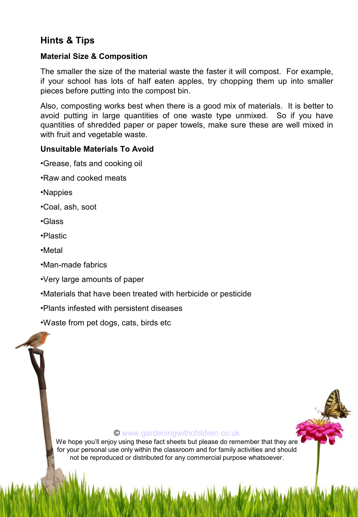# **Hints & Tips**

### **Material Size & Composition**

The smaller the size of the material waste the faster it will compost. For example, if your school has lots of half eaten apples, try chopping them up into smaller pieces before putting into the compost bin.

Also, composting works best when there is a good mix of materials. It is better to avoid putting in large quantities of one waste type unmixed. So if you have quantities of shredded paper or paper towels, make sure these are well mixed in with fruit and vegetable waste.

### **Unsuitable Materials To Avoid**

- •Grease, fats and cooking oil
- •Raw and cooked meats
- •Nappies
- •Coal, ash, soot
- •Glass
- •Plastic
- •Metal
- •Man-made fabrics
- •Very large amounts of paper
- •Materials that have been treated with herbicide or pesticide
- •Plants infested with persistent diseases
- •Waste from pet dogs, cats, birds etc

#### © [www.gardeningwithchildren.co.uk](http://gardeningwithchildren.co.uk/)